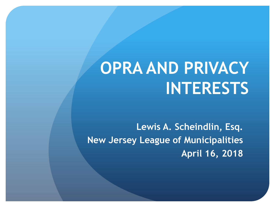# **OPRA AND PRIVACY INTERESTS**

**Lewis A. Scheindlin, Esq. New Jersey League of Municipalities April 16, 2018**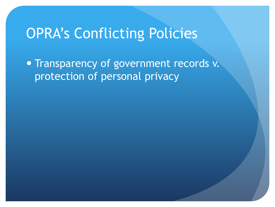### OPRA's Conflicting Policies

• Transparency of government records v. protection of personal privacy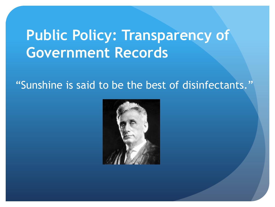# **Public Policy: Transparency of Government Records**

#### "Sunshine is said to be the best of disinfectants."

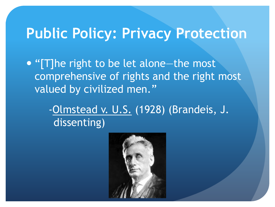### **Public Policy: Privacy Protection**

 "[T]he right to be let alone—the most comprehensive of rights and the right most valued by civilized men."

> -Olmstead v. U.S. (1928) (Brandeis, J. dissenting)

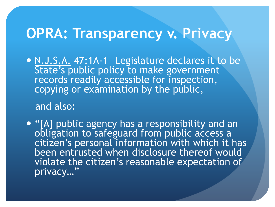### **OPRA: Transparency v. Privacy**

• N.J.S.A. 47:1A-1–Legislature declares it to be State's public policy to make government records readily accessible for inspection, copying or examination by the public,

and also:

 "[A] public agency has a responsibility and an obligation to safeguard from public access a citizen's personal information with which it has been entrusted when disclosure thereof would violate the citizen's reasonable expectation of privacy...'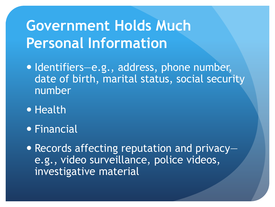### **Government Holds Much Personal Information**

- Identifiers—e.g., address, phone number, date of birth, marital status, social security number
- Health
- **Financial**

• Records affecting reputation and privacye.g., video surveillance, police videos, investigative material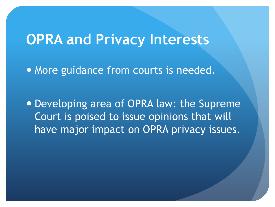### **OPRA and Privacy Interests**

• More guidance from courts is needed.

 Developing area of OPRA law: the Supreme Court is poised to issue opinions that will have major impact on OPRA privacy issues.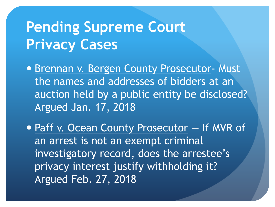### **Pending Supreme Court Privacy Cases**

**• Brennan v. Bergen County Prosecutor- Must** the names and addresses of bidders at an auction held by a public entity be disclosed? Argued Jan. 17, 2018

• Paff v. Ocean County Prosecutor - If MVR of an arrest is not an exempt criminal investigatory record, does the arrestee's privacy interest justify withholding it? Argued Feb. 27, 2018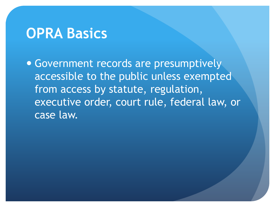#### **OPRA Basics**

 Government records are presumptively accessible to the public unless exempted from access by statute, regulation, executive order, court rule, federal law, or case law.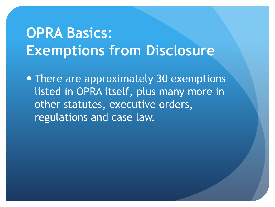# **OPRA Basics: Exemptions from Disclosure**

• There are approximately 30 exemptions listed in OPRA itself, plus many more in other statutes, executive orders, regulations and case law.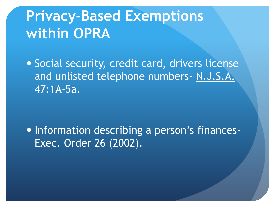# **Privacy-Based Exemptions within OPRA**

• Social security, credit card, drivers license and unlisted telephone numbers- N.J.S.A. 47:1A-5a.

• Information describing a person's finances-Exec. Order 26 (2002).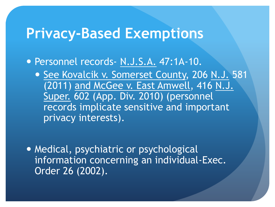#### **Privacy-Based Exemptions**

**• Personnel records- N.J.S.A. 47:1A-10.** 

• See Kovalcik v. Somerset County, 206 N.J. 581 (2011) and McGee v. East Amwell, 416 N.J. Super. 602 (App. Div. 2010) (personnel records implicate sensitive and important privacy interests).

• Medical, psychiatric or psychological information concerning an individual-Exec. Order 26 (2002).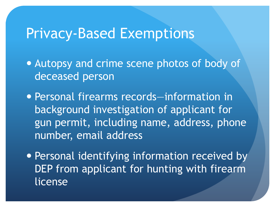#### Privacy-Based Exemptions

- Autopsy and crime scene photos of body of deceased person
- Personal firearms records—information in background investigation of applicant for gun permit, including name, address, phone number, email address
- Personal identifying information received by DEP from applicant for hunting with firearm license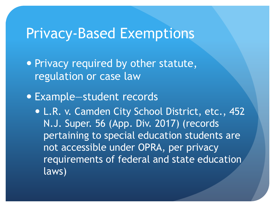#### Privacy-Based Exemptions

**• Privacy required by other statute,** regulation or case law

Example—student records

 L.R. v. Camden City School District, etc., 452 N.J. Super. 56 (App. Div. 2017) (records pertaining to special education students are not accessible under OPRA, per privacy requirements of federal and state education laws)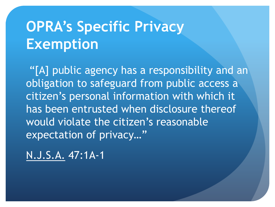# **OPRA's Specific Privacy Exemption**

"[A] public agency has a responsibility and an obligation to safeguard from public access a citizen's personal information with which it has been entrusted when disclosure thereof would violate the citizen's reasonable expectation of privacy…"

N.J.S.A. 47:1A-1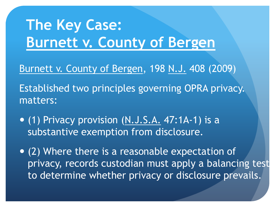# **The Key Case: Burnett v. County of Bergen**

Burnett v. County of Bergen, 198 N.J. 408 (2009)

Established two principles governing OPRA privacy. matters:

- (1) Privacy provision (N.J.S.A. 47:1A-1) is a substantive exemption from disclosure.
- (2) Where there is a reasonable expectation of privacy, records custodian must apply a balancing test to determine whether privacy or disclosure prevails.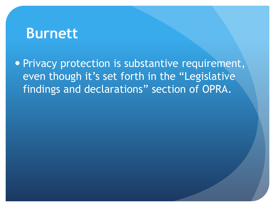• Privacy protection is substantive requirement, even though it's set forth in the "Legislative findings and declarations" section of OPRA.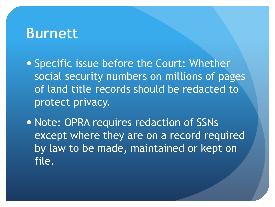Specific issue before the Court: Whether social security numbers on millions of pages of land title records should be redacted to protect privacy.

• Note: OPRA requires redaction of SSNs except where they are on a record required by law to be made, maintained or kept on file.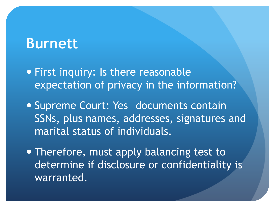- **First inquiry: Is there reasonable** expectation of privacy in the information?
- Supreme Court: Yes-documents contain SSNs, plus names, addresses, signatures and marital status of individuals.
- Therefore, must apply balancing test to determine if disclosure or confidentiality is warranted.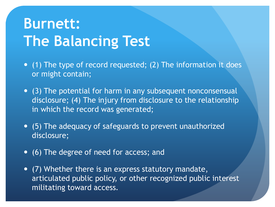# **Burnett: The Balancing Test**

- (1) The type of record requested; (2) The information it does or might contain;
- (3) The potential for harm in any subsequent nonconsensual disclosure; (4) The injury from disclosure to the relationship in which the record was generated;
- (5) The adequacy of safeguards to prevent unauthorized disclosure;
- (6) The degree of need for access; and
- (7) Whether there is an express statutory mandate, articulated public policy, or other recognized public interest militating toward access.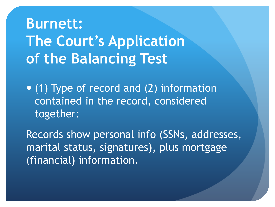# **Burnett: The Court's Application of the Balancing Test**

 (1) Type of record and (2) information contained in the record, considered together:

Records show personal info (SSNs, addresses, marital status, signatures), plus mortgage (financial) information.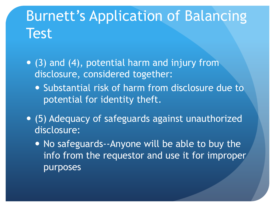# Burnett's Application of Balancing **Test**

- (3) and (4), potential harm and injury from disclosure, considered together:
	- Substantial risk of harm from disclosure due to potential for identity theft.
- (5) Adequacy of safeguards against unauthorized disclosure:
	- No safeguards--Anyone will be able to buy the info from the requestor and use it for improper purposes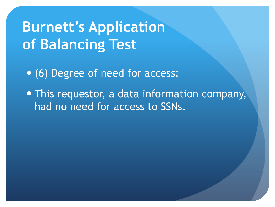# **Burnett's Application of Balancing Test**

(6) Degree of need for access:

 This requestor, a data information company, had no need for access to SSNs.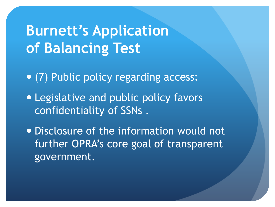### **Burnett's Application of Balancing Test**

(7) Public policy regarding access:

- Legislative and public policy favors confidentiality of SSNs .
- Disclosure of the information would not further OPRA's core goal of transparent government.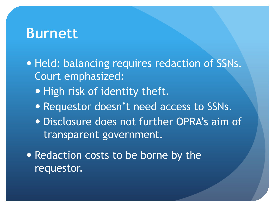- Held: balancing requires redaction of SSNs. Court emphasized:
	- High risk of identity theft.
	- Requestor doesn't need access to SSNs.
	- Disclosure does not further OPRA's aim of transparent government.

• Redaction costs to be borne by the requestor.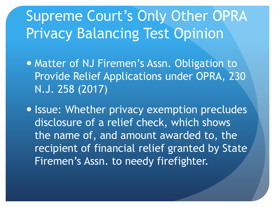# Supreme Court's Only Other OPRA Privacy Balancing Test Opinion

• Matter of NJ Firemen's Assn. Obligation to Provide Relief Applications under OPRA, 230 N.J. 258 (2017)

**.** Issue: Whether privacy exemption precludes disclosure of a relief check, which shows the name of, and amount awarded to, the recipient of financial relief granted by State Firemen's Assn. to needy firefighter.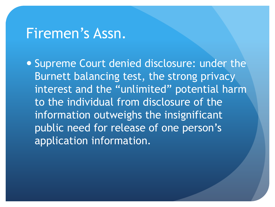#### Firemen's Assn.

 Supreme Court denied disclosure: under the Burnett balancing test, the strong privacy interest and the "unlimited" potential harm to the individual from disclosure of the information outweighs the insignificant public need for release of one person's application information.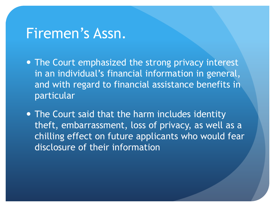#### Firemen's Assn.

- The Court emphasized the strong privacy interest in an individual's financial information in general, and with regard to financial assistance benefits in particular
- The Court said that the harm includes identity theft, embarrassment, loss of privacy, as well as a chilling effect on future applicants who would fear disclosure of their information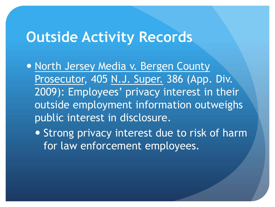#### **Outside Activity Records**

- North Jersey Media v. Bergen County Prosecutor, 405 N.J. Super. 386 (App. Div. 2009): Employees' privacy interest in their outside employment information outweighs public interest in disclosure.
	- **.** Strong privacy interest due to risk of harm for law enforcement employees.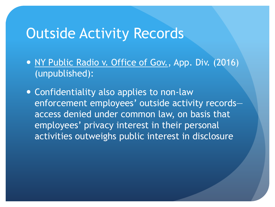### Outside Activity Records

- NY Public Radio v. Office of Gov., App. Div. (2016) (unpublished):
- Confidentiality also applies to non-law enforcement employees' outside activity records access denied under common law, on basis that employees' privacy interest in their personal activities outweighs public interest in disclosure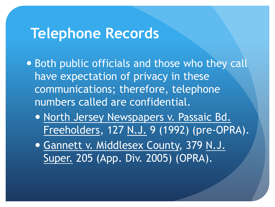### **Telephone Records**

- Both public officials and those who they call have expectation of privacy in these communications; therefore, telephone numbers called are confidential.
	- North Jersey Newspapers v. Passaic Bd. Freeholders, 127 N.J. 9 (1992) (pre-OPRA).
	- **Gannett v. Middlesex County, 379 N.J.** Super. 205 (App. Div. 2005) (OPRA).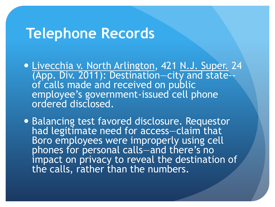#### **Telephone Records**

- Livecchia v. North Arlington, 421 N.J. Super. 24 (App. Div. 2011): Destination—city and state- of calls made and received on public employee's government-issued cell phone ordered disclosed.
- Balancing test favored disclosure. Requestor had legitimate need for access—claim that Boro employees were improperly using cell phones for personal calls—and there's no impact on privacy to reveal the destination of the calls, rather than the numbers.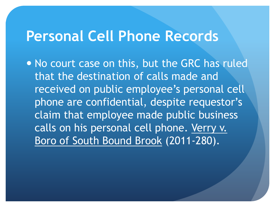### **Personal Cell Phone Records**

• No court case on this, but the GRC has ruled that the destination of calls made and received on public employee's personal cell phone are confidential, despite requestor's claim that employee made public business calls on his personal cell phone. Verry v. Boro of South Bound Brook (2011-280).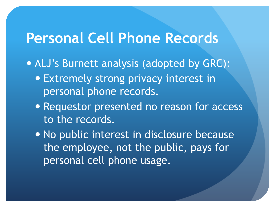### **Personal Cell Phone Records**

- ALJ's Burnett analysis (adopted by GRC):
	- Extremely strong privacy interest in personal phone records.
	- Requestor presented no reason for access to the records.
	- No public interest in disclosure because the employee, not the public, pays for personal cell phone usage.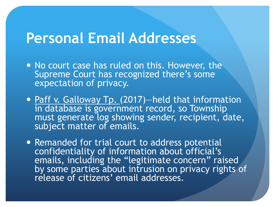#### **Personal Email Addresses**

- No court case has ruled on this. However, the Supreme Court has recognized there's some expectation of privacy.
- Paff v. Galloway Tp. (2017)—held that information in database is government record, so Township must generate log showing sender, recipient, date, subject matter of emails.
- Remanded for trial court to address potential confidentiality of information about official's emails, including the "legitimate concern" raised by some parties about intrusion on privacy rights of release of citizens' email addresses.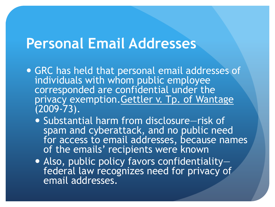#### **Personal Email Addresses**

- GRC has held that personal email addresses of individuals with whom public employee corresponded are confidential under the privacy exemption.Gettler v. Tp. of Wantage (2009-73).
	- Substantial harm from disclosure—risk of spam and cyberattack, and no public need for access to email addresses, because names of the emails' recipients were known
	- Also, public policy favors confidentiality federal law recognizes need for privacy of email addresses.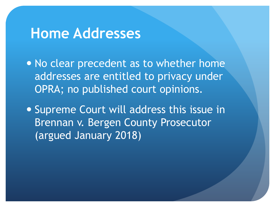#### **Home Addresses**

• No clear precedent as to whether home addresses are entitled to privacy under OPRA; no published court opinions.

**.** Supreme Court will address this issue in Brennan v. Bergen County Prosecutor (argued January 2018)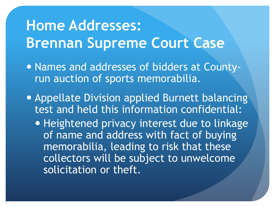# **Home Addresses: Brennan Supreme Court Case**

- Names and addresses of bidders at Countyrun auction of sports memorabilia.
- **Appellate Division applied Burnett balancing** test and held this information confidential:
	- Heightened privacy interest due to linkage of name and address with fact of buying memorabilia, leading to risk that these collectors will be subject to unwelcome solicitation or theft.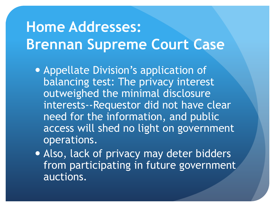# **Home Addresses: Brennan Supreme Court Case**

- Appellate Division's application of balancing test: The privacy interest outweighed the minimal disclosure interests--Requestor did not have clear need for the information, and public access will shed no light on government operations.
- Also, lack of privacy may deter bidders from participating in future government auctions.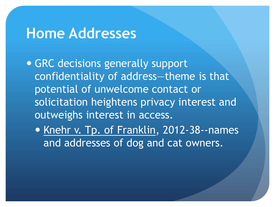#### **Home Addresses**

- GRC decisions generally support confidentiality of address—theme is that potential of unwelcome contact or solicitation heightens privacy interest and outweighs interest in access.
	- Knehr v. Tp. of Franklin, 2012-38--names and addresses of dog and cat owners.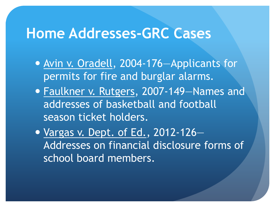### **Home Addresses-GRC Cases**

- Avin v. Oradell, 2004-176—Applicants for permits for fire and burglar alarms.
- Faulkner v. Rutgers, 2007-149—Names and addresses of basketball and football season ticket holders.
- Vargas v. Dept. of Ed., 2012-126— Addresses on financial disclosure forms of school board members.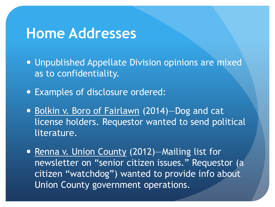#### **Home Addresses**

- Unpublished Appellate Division opinions are mixed as to confidentiality.
- Examples of disclosure ordered:
- Bolkin v. Boro of Fairlawn (2014)–Dog and cat license holders. Requestor wanted to send political literature.
- Renna v. Union County (2012)-Mailing list for newsletter on "senior citizen issues." Requestor (a citizen "watchdog") wanted to provide info about Union County government operations.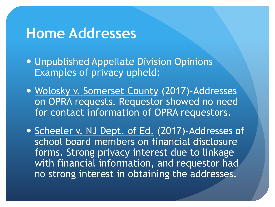#### **Home Addresses**

- Unpublished Appellate Division Opinions Examples of privacy upheld:
- Wolosky v. Somerset County (2017)-Addresses on OPRA requests. Requestor showed no need for contact information of OPRA requestors.
- Scheeler v. NJ Dept. of Ed. (2017)-Addresses of school board members on financial disclosure forms. Strong privacy interest due to linkage with financial information, and requestor had no strong interest in obtaining the addresses.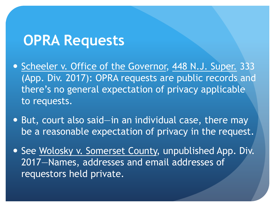### **OPRA Requests**

- Scheeler v. Office of the Governor, 448 N.J. Super. 333 (App. Div. 2017): OPRA requests are public records and there's no general expectation of privacy applicable to requests.
- But, court also said—in an individual case, there may be a reasonable expectation of privacy in the request.
- See Wolosky v. Somerset County, unpublished App. Div. 2017—Names, addresses and email addresses of requestors held private.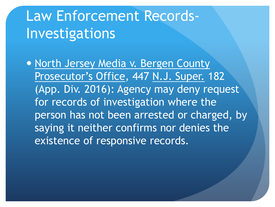# Law Enforcement Records-Investigations

• North Jersey Media v. Bergen County Prosecutor's Office, 447 N.J. Super. 182 (App. Div. 2016): Agency may deny request for records of investigation where the person has not been arrested or charged, by saying it neither confirms nor denies the existence of responsive records.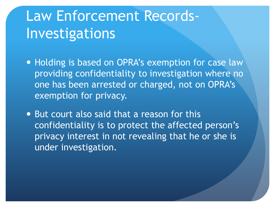# Law Enforcement Records-Investigations

- Holding is based on OPRA's exemption for case law providing confidentiality to investigation where no one has been arrested or charged, not on OPRA's exemption for privacy.
- But court also said that a reason for this confidentiality is to protect the affected person's privacy interest in not revealing that he or she is under investigation.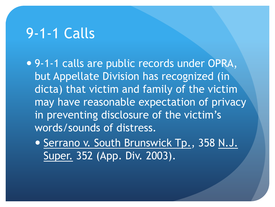### 9-1-1 Calls

 9-1-1 calls are public records under OPRA, but Appellate Division has recognized (in dicta) that victim and family of the victim may have reasonable expectation of privacy in preventing disclosure of the victim's words/sounds of distress.

**• Serrano v. South Brunswick Tp., 358 N.J.** Super. 352 (App. Div. 2003).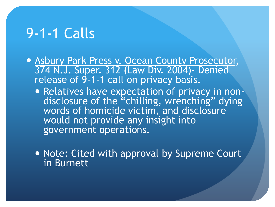### 9-1-1 Calls

- Asbury Park Press v. Ocean County Prosecutor, 374 N.J. Super. 312 (Law Div. 2004)- Denied release of 9-1-1 call on privacy basis.
	- Relatives have expectation of privacy in nondisclosure of the "chilling, wrenching" dying words of homicide victim, and disclosure would not provide any insight into government operations.
	- Note: Cited with approval by Supreme Court in Burnett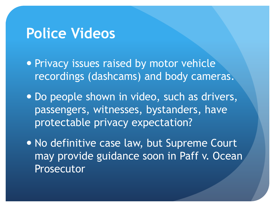#### **Police Videos**

**• Privacy issues raised by motor vehicle** recordings (dashcams) and body cameras.

• Do people shown in video, such as drivers, passengers, witnesses, bystanders, have protectable privacy expectation?

 No definitive case law, but Supreme Court may provide guidance soon in Paff v. Ocean Prosecutor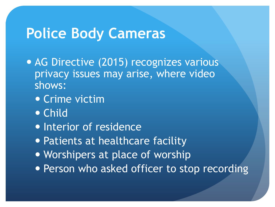### **Police Body Cameras**

- AG Directive (2015) recognizes various privacy issues may arise, where video shows:
	- Crime victim
	- Child
	- Interior of residence
	- Patients at healthcare facility
	- Worshipers at place of worship
	- Person who asked officer to stop recording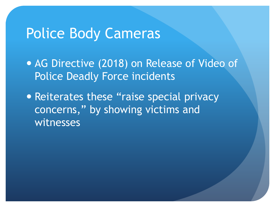### Police Body Cameras

 AG Directive (2018) on Release of Video of Police Deadly Force incidents

• Reiterates these "raise special privacy concerns," by showing victims and witnesses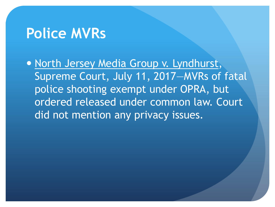#### **Police MVRs**

• North Jersey Media Group v. Lyndhurst, Supreme Court, July 11, 2017—MVRs of fatal police shooting exempt under OPRA, but ordered released under common law. Court did not mention any privacy issues.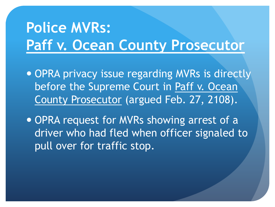# **Police MVRs: Paff v. Ocean County Prosecutor**

• OPRA privacy issue regarding MVRs is directly before the Supreme Court in Paff v. Ocean County Prosecutor (argued Feb. 27, 2108).

• OPRA request for MVRs showing arrest of a driver who had fled when officer signaled to pull over for traffic stop.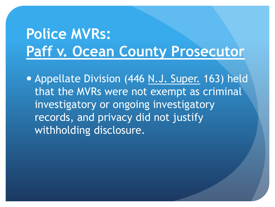### **Police MVRs: Paff v. Ocean County Prosecutor**

• Appellate Division (446 N.J. Super. 163) held that the MVRs were not exempt as criminal investigatory or ongoing investigatory records, and privacy did not justify withholding disclosure.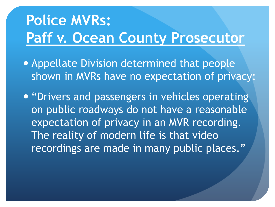# **Police MVRs: Paff v. Ocean County Prosecutor**

- Appellate Division determined that people shown in MVRs have no expectation of privacy:
- "Drivers and passengers in vehicles operating on public roadways do not have a reasonable expectation of privacy in an MVR recording. The reality of modern life is that video recordings are made in many public places."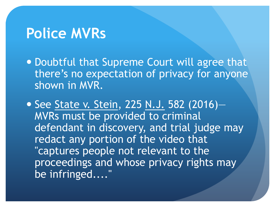### **Police MVRs**

 Doubtful that Supreme Court will agree that there's no expectation of privacy for anyone shown in MVR.

• See State v. Stein, 225 N.J. 582 (2016)-MVRs must be provided to criminal defendant in discovery, and trial judge may redact any portion of the video that "captures people not relevant to the proceedings and whose privacy rights may be infringed...."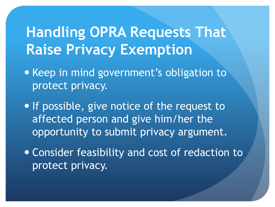# **Handling OPRA Requests That Raise Privacy Exemption**

- Keep in mind government's obligation to protect privacy.
- If possible, give notice of the request to affected person and give him/her the opportunity to submit privacy argument.
- Consider feasibility and cost of redaction to protect privacy.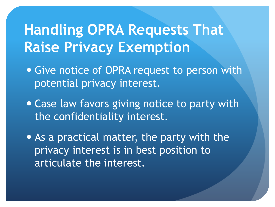# **Handling OPRA Requests That Raise Privacy Exemption**

- Give notice of OPRA request to person with potential privacy interest.
- Case law favors giving notice to party with the confidentiality interest.
- As a practical matter, the party with the privacy interest is in best position to articulate the interest.